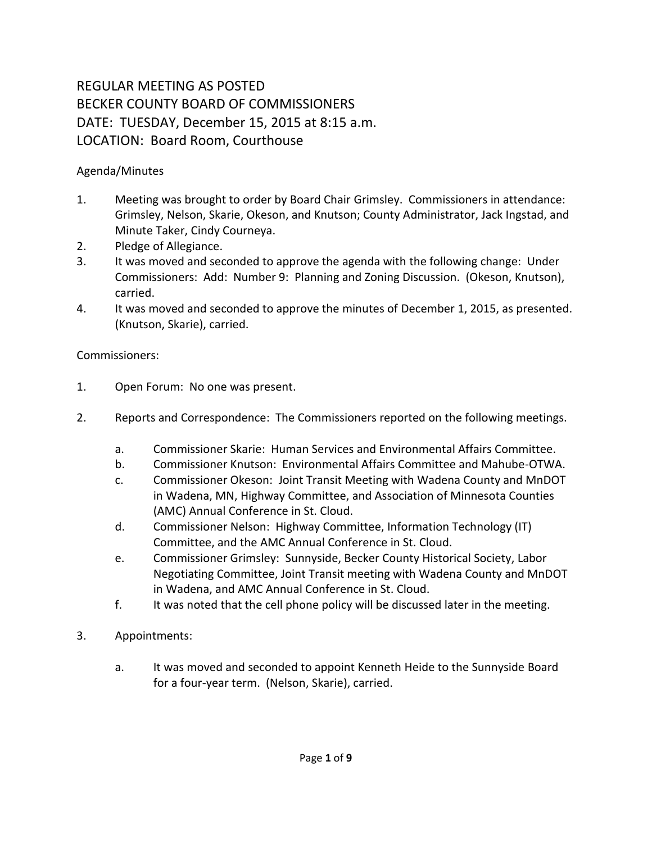## REGULAR MEETING AS POSTED BECKER COUNTY BOARD OF COMMISSIONERS DATE: TUESDAY, December 15, 2015 at 8:15 a.m. LOCATION: Board Room, Courthouse

## Agenda/Minutes

- 1. Meeting was brought to order by Board Chair Grimsley. Commissioners in attendance: Grimsley, Nelson, Skarie, Okeson, and Knutson; County Administrator, Jack Ingstad, and Minute Taker, Cindy Courneya.
- 2. Pledge of Allegiance.
- 3. It was moved and seconded to approve the agenda with the following change: Under Commissioners: Add: Number 9: Planning and Zoning Discussion. (Okeson, Knutson), carried.
- 4. It was moved and seconded to approve the minutes of December 1, 2015, as presented. (Knutson, Skarie), carried.

## Commissioners:

- 1. Open Forum: No one was present.
- 2. Reports and Correspondence: The Commissioners reported on the following meetings.
	- a. Commissioner Skarie: Human Services and Environmental Affairs Committee.
	- b. Commissioner Knutson: Environmental Affairs Committee and Mahube-OTWA.
	- c. Commissioner Okeson: Joint Transit Meeting with Wadena County and MnDOT in Wadena, MN, Highway Committee, and Association of Minnesota Counties (AMC) Annual Conference in St. Cloud.
	- d. Commissioner Nelson: Highway Committee, Information Technology (IT) Committee, and the AMC Annual Conference in St. Cloud.
	- e. Commissioner Grimsley: Sunnyside, Becker County Historical Society, Labor Negotiating Committee, Joint Transit meeting with Wadena County and MnDOT in Wadena, and AMC Annual Conference in St. Cloud.
	- f. It was noted that the cell phone policy will be discussed later in the meeting.
- 3. Appointments:
	- a. It was moved and seconded to appoint Kenneth Heide to the Sunnyside Board for a four-year term. (Nelson, Skarie), carried.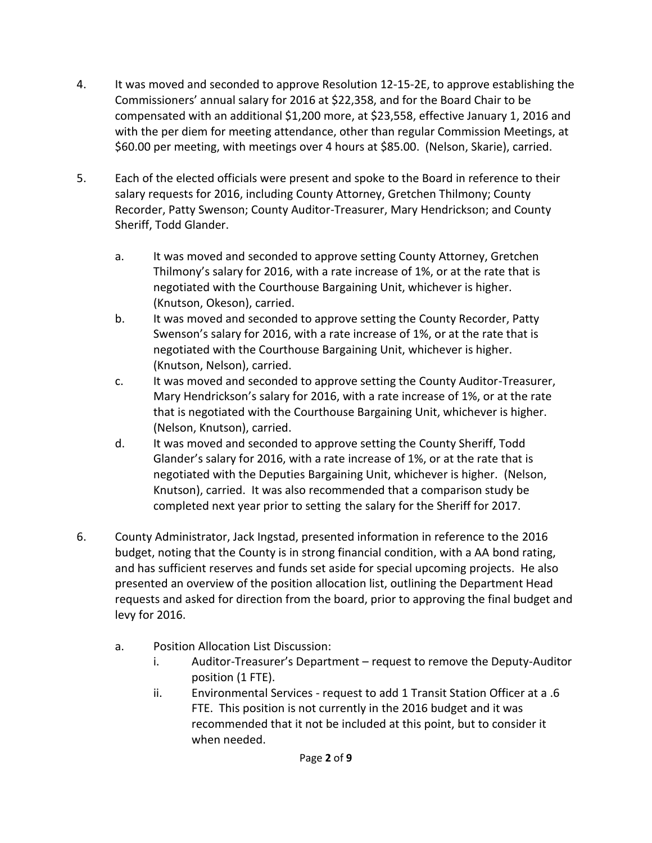- 4. It was moved and seconded to approve Resolution 12-15-2E, to approve establishing the Commissioners' annual salary for 2016 at \$22,358, and for the Board Chair to be compensated with an additional \$1,200 more, at \$23,558, effective January 1, 2016 and with the per diem for meeting attendance, other than regular Commission Meetings, at \$60.00 per meeting, with meetings over 4 hours at \$85.00. (Nelson, Skarie), carried.
- 5. Each of the elected officials were present and spoke to the Board in reference to their salary requests for 2016, including County Attorney, Gretchen Thilmony; County Recorder, Patty Swenson; County Auditor-Treasurer, Mary Hendrickson; and County Sheriff, Todd Glander.
	- a. It was moved and seconded to approve setting County Attorney, Gretchen Thilmony's salary for 2016, with a rate increase of 1%, or at the rate that is negotiated with the Courthouse Bargaining Unit, whichever is higher. (Knutson, Okeson), carried.
	- b. It was moved and seconded to approve setting the County Recorder, Patty Swenson's salary for 2016, with a rate increase of 1%, or at the rate that is negotiated with the Courthouse Bargaining Unit, whichever is higher. (Knutson, Nelson), carried.
	- c. It was moved and seconded to approve setting the County Auditor-Treasurer, Mary Hendrickson's salary for 2016, with a rate increase of 1%, or at the rate that is negotiated with the Courthouse Bargaining Unit, whichever is higher. (Nelson, Knutson), carried.
	- d. It was moved and seconded to approve setting the County Sheriff, Todd Glander's salary for 2016, with a rate increase of 1%, or at the rate that is negotiated with the Deputies Bargaining Unit, whichever is higher. (Nelson, Knutson), carried. It was also recommended that a comparison study be completed next year prior to setting the salary for the Sheriff for 2017.
- 6. County Administrator, Jack Ingstad, presented information in reference to the 2016 budget, noting that the County is in strong financial condition, with a AA bond rating, and has sufficient reserves and funds set aside for special upcoming projects. He also presented an overview of the position allocation list, outlining the Department Head requests and asked for direction from the board, prior to approving the final budget and levy for 2016.
	- a. Position Allocation List Discussion:
		- i. Auditor-Treasurer's Department request to remove the Deputy-Auditor position (1 FTE).
		- ii. Environmental Services request to add 1 Transit Station Officer at a .6 FTE. This position is not currently in the 2016 budget and it was recommended that it not be included at this point, but to consider it when needed.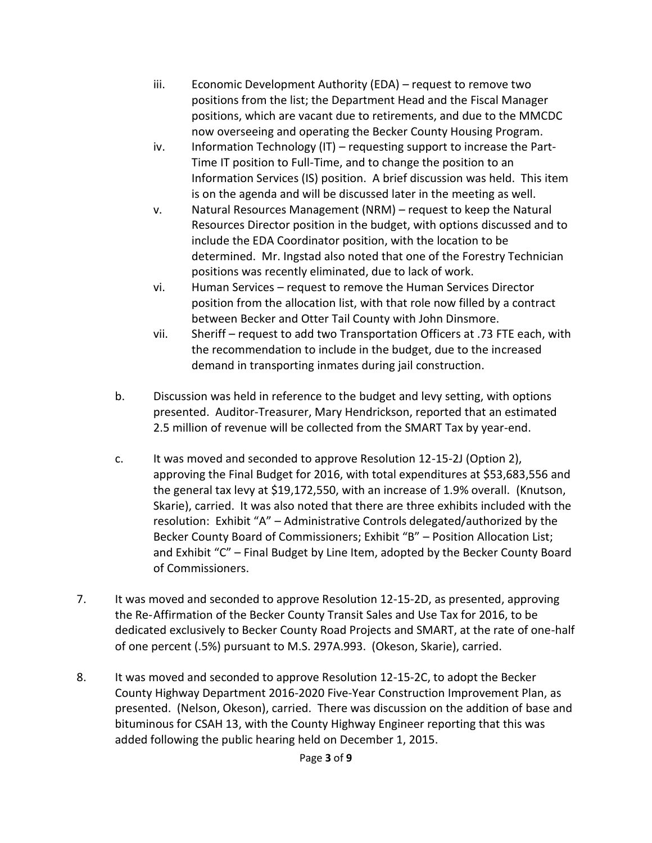- iii. Economic Development Authority (EDA) request to remove two positions from the list; the Department Head and the Fiscal Manager positions, which are vacant due to retirements, and due to the MMCDC now overseeing and operating the Becker County Housing Program.
- iv. Information Technology (IT) requesting support to increase the Part-Time IT position to Full-Time, and to change the position to an Information Services (IS) position. A brief discussion was held. This item is on the agenda and will be discussed later in the meeting as well.
- v. Natural Resources Management (NRM) request to keep the Natural Resources Director position in the budget, with options discussed and to include the EDA Coordinator position, with the location to be determined. Mr. Ingstad also noted that one of the Forestry Technician positions was recently eliminated, due to lack of work.
- vi. Human Services request to remove the Human Services Director position from the allocation list, with that role now filled by a contract between Becker and Otter Tail County with John Dinsmore.
- vii. Sheriff request to add two Transportation Officers at .73 FTE each, with the recommendation to include in the budget, due to the increased demand in transporting inmates during jail construction.
- b. Discussion was held in reference to the budget and levy setting, with options presented. Auditor-Treasurer, Mary Hendrickson, reported that an estimated 2.5 million of revenue will be collected from the SMART Tax by year-end.
- c. It was moved and seconded to approve Resolution 12-15-2J (Option 2), approving the Final Budget for 2016, with total expenditures at \$53,683,556 and the general tax levy at \$19,172,550, with an increase of 1.9% overall. (Knutson, Skarie), carried. It was also noted that there are three exhibits included with the resolution: Exhibit "A" – Administrative Controls delegated/authorized by the Becker County Board of Commissioners; Exhibit "B" – Position Allocation List; and Exhibit "C" – Final Budget by Line Item, adopted by the Becker County Board of Commissioners.
- 7. It was moved and seconded to approve Resolution 12-15-2D, as presented, approving the Re-Affirmation of the Becker County Transit Sales and Use Tax for 2016, to be dedicated exclusively to Becker County Road Projects and SMART, at the rate of one-half of one percent (.5%) pursuant to M.S. 297A.993. (Okeson, Skarie), carried.
- 8. It was moved and seconded to approve Resolution 12-15-2C, to adopt the Becker County Highway Department 2016-2020 Five-Year Construction Improvement Plan, as presented. (Nelson, Okeson), carried. There was discussion on the addition of base and bituminous for CSAH 13, with the County Highway Engineer reporting that this was added following the public hearing held on December 1, 2015.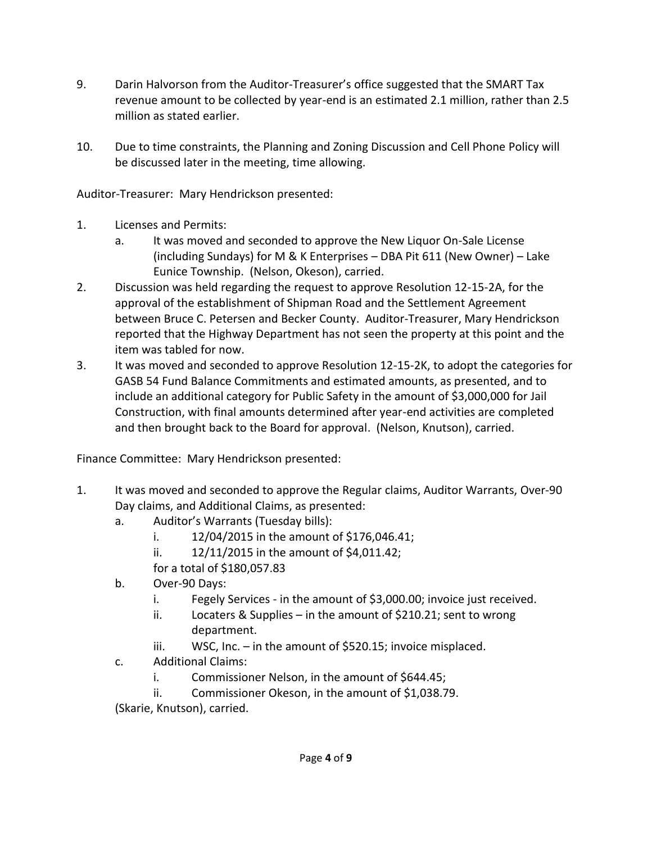- 9. Darin Halvorson from the Auditor-Treasurer's office suggested that the SMART Tax revenue amount to be collected by year-end is an estimated 2.1 million, rather than 2.5 million as stated earlier.
- 10. Due to time constraints, the Planning and Zoning Discussion and Cell Phone Policy will be discussed later in the meeting, time allowing.

Auditor-Treasurer: Mary Hendrickson presented:

- 1. Licenses and Permits:
	- a. It was moved and seconded to approve the New Liquor On-Sale License (including Sundays) for M & K Enterprises – DBA Pit 611 (New Owner) – Lake Eunice Township. (Nelson, Okeson), carried.
- 2. Discussion was held regarding the request to approve Resolution 12-15-2A, for the approval of the establishment of Shipman Road and the Settlement Agreement between Bruce C. Petersen and Becker County. Auditor-Treasurer, Mary Hendrickson reported that the Highway Department has not seen the property at this point and the item was tabled for now.
- 3. It was moved and seconded to approve Resolution 12-15-2K, to adopt the categories for GASB 54 Fund Balance Commitments and estimated amounts, as presented, and to include an additional category for Public Safety in the amount of \$3,000,000 for Jail Construction, with final amounts determined after year-end activities are completed and then brought back to the Board for approval. (Nelson, Knutson), carried.

Finance Committee: Mary Hendrickson presented:

- 1. It was moved and seconded to approve the Regular claims, Auditor Warrants, Over-90 Day claims, and Additional Claims, as presented:
	- a. Auditor's Warrants (Tuesday bills):
		- i. 12/04/2015 in the amount of \$176,046.41;
		- ii. 12/11/2015 in the amount of \$4,011.42;
		- for a total of \$180,057.83
	- b. Over-90 Days:
		- i. Fegely Services in the amount of \$3,000.00; invoice just received.
		- ii. Locaters & Supplies in the amount of \$210.21; sent to wrong department.
		- iii. WSC, Inc. in the amount of \$520.15; invoice misplaced.
	- c. Additional Claims:
		- i. Commissioner Nelson, in the amount of \$644.45;
		- ii. Commissioner Okeson, in the amount of \$1,038.79.

(Skarie, Knutson), carried.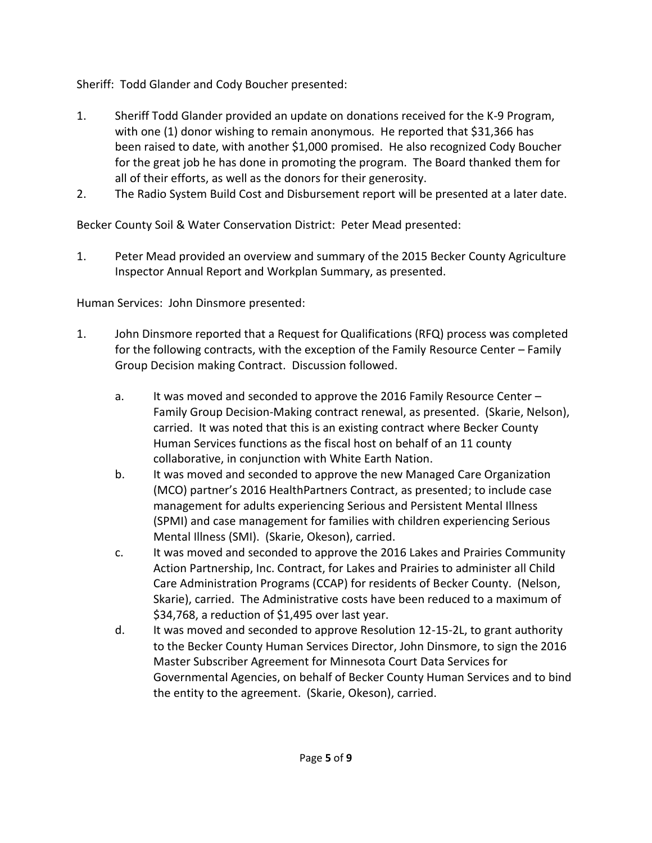Sheriff: Todd Glander and Cody Boucher presented:

- 1. Sheriff Todd Glander provided an update on donations received for the K-9 Program, with one (1) donor wishing to remain anonymous. He reported that \$31,366 has been raised to date, with another \$1,000 promised. He also recognized Cody Boucher for the great job he has done in promoting the program. The Board thanked them for all of their efforts, as well as the donors for their generosity.
- 2. The Radio System Build Cost and Disbursement report will be presented at a later date.

Becker County Soil & Water Conservation District: Peter Mead presented:

1. Peter Mead provided an overview and summary of the 2015 Becker County Agriculture Inspector Annual Report and Workplan Summary, as presented.

Human Services: John Dinsmore presented:

- 1. John Dinsmore reported that a Request for Qualifications (RFQ) process was completed for the following contracts, with the exception of the Family Resource Center – Family Group Decision making Contract. Discussion followed.
	- a. It was moved and seconded to approve the 2016 Family Resource Center Family Group Decision-Making contract renewal, as presented. (Skarie, Nelson), carried. It was noted that this is an existing contract where Becker County Human Services functions as the fiscal host on behalf of an 11 county collaborative, in conjunction with White Earth Nation.
	- b. It was moved and seconded to approve the new Managed Care Organization (MCO) partner's 2016 HealthPartners Contract, as presented; to include case management for adults experiencing Serious and Persistent Mental Illness (SPMI) and case management for families with children experiencing Serious Mental Illness (SMI). (Skarie, Okeson), carried.
	- c. It was moved and seconded to approve the 2016 Lakes and Prairies Community Action Partnership, Inc. Contract, for Lakes and Prairies to administer all Child Care Administration Programs (CCAP) for residents of Becker County. (Nelson, Skarie), carried. The Administrative costs have been reduced to a maximum of \$34,768, a reduction of \$1,495 over last year.
	- d. It was moved and seconded to approve Resolution 12-15-2L, to grant authority to the Becker County Human Services Director, John Dinsmore, to sign the 2016 Master Subscriber Agreement for Minnesota Court Data Services for Governmental Agencies, on behalf of Becker County Human Services and to bind the entity to the agreement. (Skarie, Okeson), carried.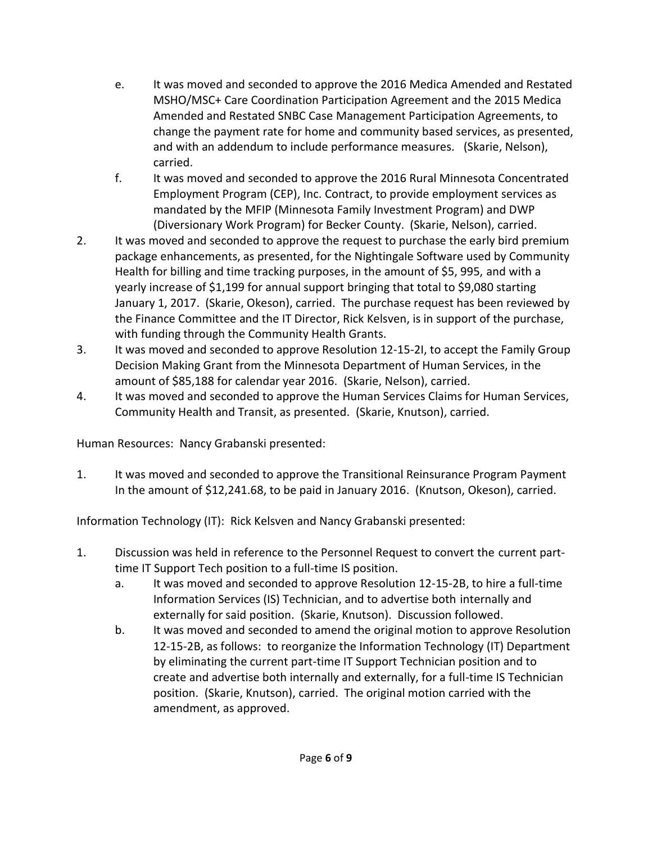- e. It was moved and seconded to approve the 2016 Medica Amended and Restated MSHO/MSC+ Care Coordination Participation Agreement and the 2015 Medica Amended and Restated SNBC Case Management Participation Agreements, to change the payment rate for home and community based services, as presented, and with an addendum to include performance measures. (Skarie, Nelson), carried.
- f. It was moved and seconded to approve the 2016 Rural Minnesota Concentrated Employment Program (CEP), Inc. Contract, to provide employment services as mandated by the MFIP (Minnesota Family Investment Program) and DWP (Diversionary Work Program) for Becker County. (Skarie, Nelson), carried.
- 2. It was moved and seconded to approve the request to purchase the early bird premium package enhancements, as presented, for the Nightingale Software used by Community Health for billing and time tracking purposes, in the amount of \$5, 995, and with a yearly increase of \$1,199 for annual support bringing that total to \$9,080 starting January 1, 2017. (Skarie, Okeson), carried. The purchase request has been reviewed by the Finance Committee and the IT Director, Rick Kelsven, is in support of the purchase, with funding through the Community Health Grants.
- 3. It was moved and seconded to approve Resolution 12-15-2I, to accept the Family Group Decision Making Grant from the Minnesota Department of Human Services, in the amount of \$85,188 for calendar year 2016. (Skarie, Nelson), carried.
- 4. It was moved and seconded to approve the Human Services Claims for Human Services, Community Health and Transit, as presented. (Skarie, Knutson), carried.

Human Resources: Nancy Grabanski presented:

1. It was moved and seconded to approve the Transitional Reinsurance Program Payment In the amount of \$12,241.68, to be paid in January 2016. (Knutson, Okeson), carried.

Information Technology (IT): Rick Kelsven and Nancy Grabanski presented:

- 1. Discussion was held in reference to the Personnel Request to convert the current parttime IT Support Tech position to a full-time IS position.
	- a. It was moved and seconded to approve Resolution 12-15-2B, to hire a full-time Information Services (IS) Technician, and to advertise both internally and externally for said position. (Skarie, Knutson). Discussion followed.
	- b. It was moved and seconded to amend the original motion to approve Resolution 12-15-2B, as follows: to reorganize the Information Technology (IT) Department by eliminating the current part-time IT Support Technician position and to create and advertise both internally and externally, for a full-time IS Technician position. (Skarie, Knutson), carried. The original motion carried with the amendment, as approved.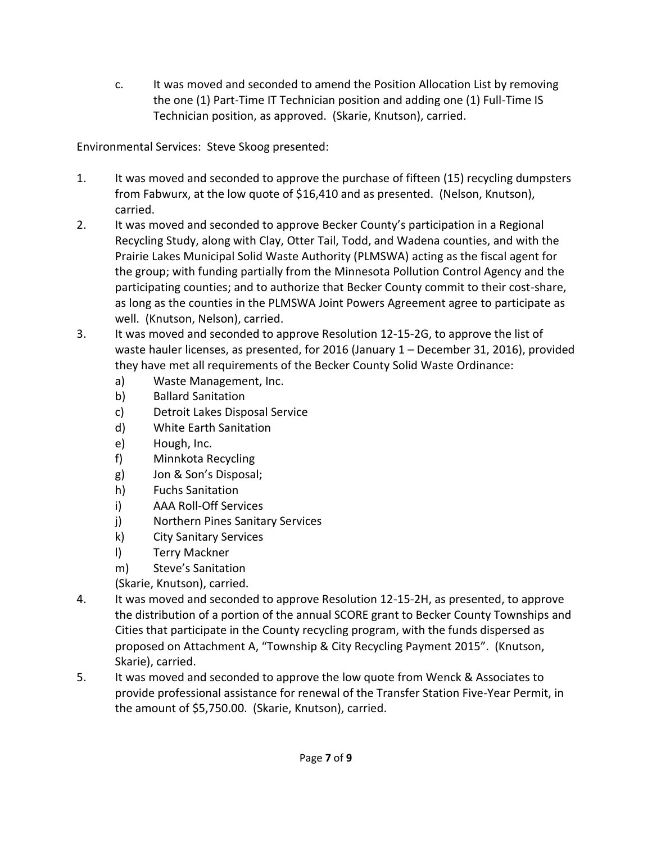c. It was moved and seconded to amend the Position Allocation List by removing the one (1) Part-Time IT Technician position and adding one (1) Full-Time IS Technician position, as approved. (Skarie, Knutson), carried.

Environmental Services: Steve Skoog presented:

- 1. It was moved and seconded to approve the purchase of fifteen (15) recycling dumpsters from Fabwurx, at the low quote of \$16,410 and as presented. (Nelson, Knutson), carried.
- 2. It was moved and seconded to approve Becker County's participation in a Regional Recycling Study, along with Clay, Otter Tail, Todd, and Wadena counties, and with the Prairie Lakes Municipal Solid Waste Authority (PLMSWA) acting as the fiscal agent for the group; with funding partially from the Minnesota Pollution Control Agency and the participating counties; and to authorize that Becker County commit to their cost-share, as long as the counties in the PLMSWA Joint Powers Agreement agree to participate as well. (Knutson, Nelson), carried.
- 3. It was moved and seconded to approve Resolution 12-15-2G, to approve the list of waste hauler licenses, as presented, for 2016 (January 1 – December 31, 2016), provided they have met all requirements of the Becker County Solid Waste Ordinance:
	- a) Waste Management, Inc.
	- b) Ballard Sanitation
	- c) Detroit Lakes Disposal Service
	- d) White Earth Sanitation
	- e) Hough, Inc.
	- f) Minnkota Recycling
	- g) Jon & Son's Disposal;
	- h) Fuchs Sanitation
	- i) AAA Roll-Off Services
	- j) Northern Pines Sanitary Services
	- k) City Sanitary Services
	- l) Terry Mackner
	- m) Steve's Sanitation
	- (Skarie, Knutson), carried.
- 4. It was moved and seconded to approve Resolution 12-15-2H, as presented, to approve the distribution of a portion of the annual SCORE grant to Becker County Townships and Cities that participate in the County recycling program, with the funds dispersed as proposed on Attachment A, "Township & City Recycling Payment 2015". (Knutson, Skarie), carried.
- 5. It was moved and seconded to approve the low quote from Wenck & Associates to provide professional assistance for renewal of the Transfer Station Five-Year Permit, in the amount of \$5,750.00. (Skarie, Knutson), carried.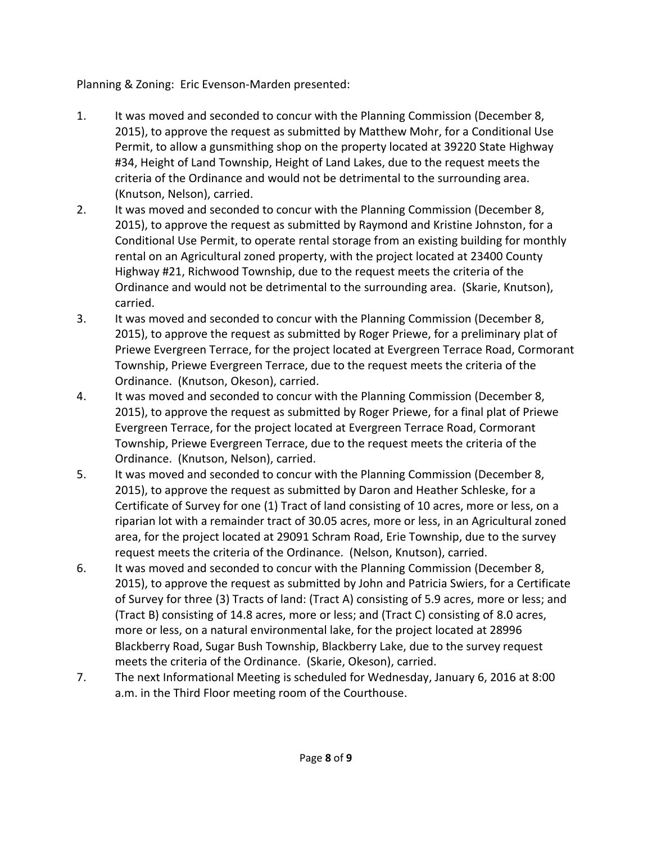Planning & Zoning: Eric Evenson-Marden presented:

- 1. It was moved and seconded to concur with the Planning Commission (December 8, 2015), to approve the request as submitted by Matthew Mohr, for a Conditional Use Permit, to allow a gunsmithing shop on the property located at 39220 State Highway #34, Height of Land Township, Height of Land Lakes, due to the request meets the criteria of the Ordinance and would not be detrimental to the surrounding area. (Knutson, Nelson), carried.
- 2. It was moved and seconded to concur with the Planning Commission (December 8, 2015), to approve the request as submitted by Raymond and Kristine Johnston, for a Conditional Use Permit, to operate rental storage from an existing building for monthly rental on an Agricultural zoned property, with the project located at 23400 County Highway #21, Richwood Township, due to the request meets the criteria of the Ordinance and would not be detrimental to the surrounding area. (Skarie, Knutson), carried.
- 3. It was moved and seconded to concur with the Planning Commission (December 8, 2015), to approve the request as submitted by Roger Priewe, for a preliminary plat of Priewe Evergreen Terrace, for the project located at Evergreen Terrace Road, Cormorant Township, Priewe Evergreen Terrace, due to the request meets the criteria of the Ordinance. (Knutson, Okeson), carried.
- 4. It was moved and seconded to concur with the Planning Commission (December 8, 2015), to approve the request as submitted by Roger Priewe, for a final plat of Priewe Evergreen Terrace, for the project located at Evergreen Terrace Road, Cormorant Township, Priewe Evergreen Terrace, due to the request meets the criteria of the Ordinance. (Knutson, Nelson), carried.
- 5. It was moved and seconded to concur with the Planning Commission (December 8, 2015), to approve the request as submitted by Daron and Heather Schleske, for a Certificate of Survey for one (1) Tract of land consisting of 10 acres, more or less, on a riparian lot with a remainder tract of 30.05 acres, more or less, in an Agricultural zoned area, for the project located at 29091 Schram Road, Erie Township, due to the survey request meets the criteria of the Ordinance. (Nelson, Knutson), carried.
- 6. It was moved and seconded to concur with the Planning Commission (December 8, 2015), to approve the request as submitted by John and Patricia Swiers, for a Certificate of Survey for three (3) Tracts of land: (Tract A) consisting of 5.9 acres, more or less; and (Tract B) consisting of 14.8 acres, more or less; and (Tract C) consisting of 8.0 acres, more or less, on a natural environmental lake, for the project located at 28996 Blackberry Road, Sugar Bush Township, Blackberry Lake, due to the survey request meets the criteria of the Ordinance. (Skarie, Okeson), carried.
- 7. The next Informational Meeting is scheduled for Wednesday, January 6, 2016 at 8:00 a.m. in the Third Floor meeting room of the Courthouse.